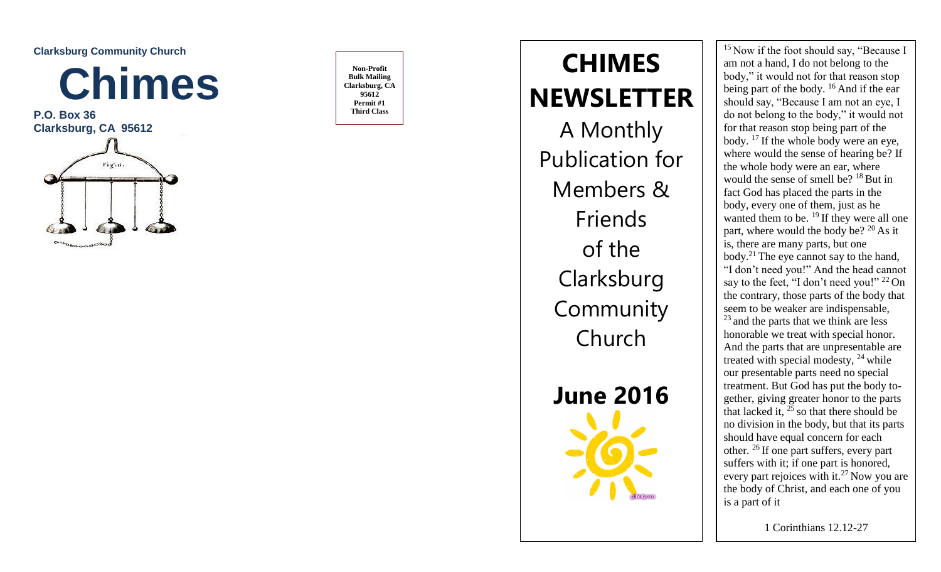**Clarksburg Community Church** 



**P.O. Box 36 Clarksburg, CA 95612** 



**Bulk Mailing Clarksburg, CA 95612 Permit #1 Third Class**

# Non-Profit  $H_{\text{ulk Mailing}}$  **LIMES**<br>arksburg, CA **REPARTICE THE CHIMES NEWSLETTER** A Monthly Publication for Members & Friends of the **Clarksburg Community** Church **June 2016**

 $15$  Now if the foot should say, "Because I am not a hand, I do not belong to the body," it would not for that reason stop being part of the body. <sup>16</sup> And if the ear should say, "Because I am not an eye, I do not belong to the body," it would not for that reason stop being part of the body. <sup>17</sup> If the whole body were an eye, where would the sense of hearing be? If the whole body were an ear, where would the sense of smell be?  $18$  But in fact God has placed the parts in the body, every one of them, just as he wanted them to be.  $^{19}$  If they were all one part, where would the body be?  $^{20}$  As it is, there are many parts, but one body.<sup>21</sup> The eye cannot say to the hand, "I don't need you!" And the head cannot say to the feet, "I don't need you!" <sup>22</sup> On the contrary, those parts of the body that seem to be weaker are indispensable, <sup>23</sup> and the parts that we think are less honorable we treat with special honor. And the parts that are unpresentable are treated with special modesty,  $^{24}$  while our presentable parts need no special treatment. But God has put the body together, giving greater honor to the parts that lacked it,  $^{25}$  so that there should be no division in the body, but that its parts should have equal concern for each other. <sup>26</sup> If one part suffers, every part suffers with it; if one part is honored, every part rejoices with it.<sup>27</sup> Now you are the body of Christ, and each one of you is a part of it

1 Corinthians 12.12 -27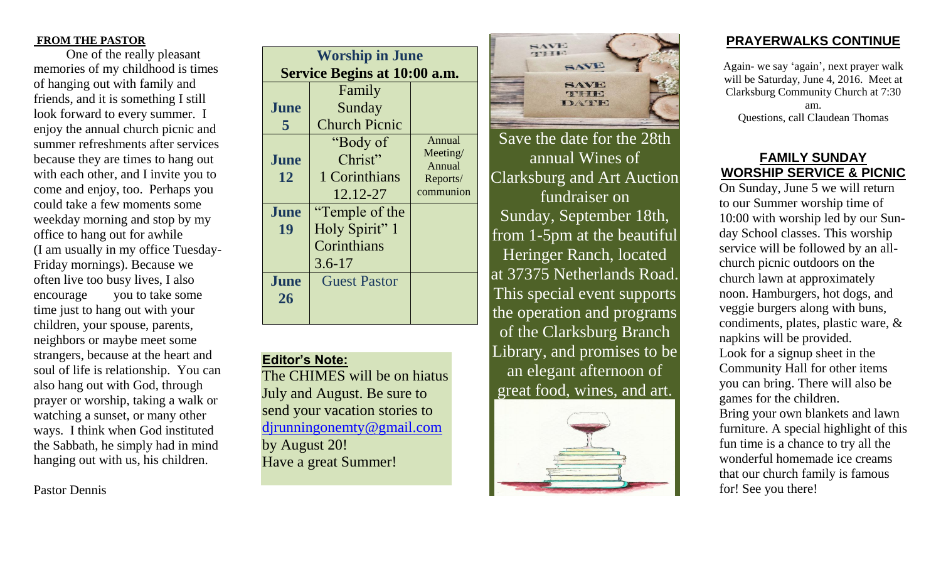#### **FROM THE PASTOR**

 One of the really pleasant memories of my childhood is times of hanging out with family and friends, and it is something I still look forward to every summer. I enjoy the annual church picnic and summer refreshments after services because they are times to hang out with each other, and I invite you to come and enjoy, too. Perhaps you could take a few moments some weekday morning and stop by my office to hang out for awhile (I am usually in my office Tuesday-Friday mornings). Because we often live too busy lives, I also encourage you to take some time just to hang out with your children, your spouse, parents, neighbors or maybe meet some strangers, because at the heart and soul of life is relationship. You can also hang out with God, through prayer or worship, taking a walk or watching a sunset, or many other ways. I think when God instituted the Sabbath, he simply had in mind hanging out with us, his children.

Pastor Dennis

| <b>Worship in June</b> |                              |                      |                    |  |
|------------------------|------------------------------|----------------------|--------------------|--|
|                        | Service Begins at 10:00 a.m. |                      |                    |  |
|                        |                              | Family               |                    |  |
|                        | June                         | Sunday               |                    |  |
|                        | 5                            | <b>Church Picnic</b> |                    |  |
|                        |                              | "Body of             | Annual             |  |
|                        | June                         | Christ"              | Meeting/<br>Annual |  |
|                        | 12                           | 1 Corinthians        | Reports/           |  |
|                        |                              | 12.12-27             | communion          |  |
|                        | June                         | "Temple of the       |                    |  |
|                        | 19                           | Holy Spirit" 1       |                    |  |
|                        |                              | Corinthians          |                    |  |
|                        |                              | $3.6 - 17$           |                    |  |
|                        | June                         | <b>Guest Pastor</b>  |                    |  |
|                        | 26                           |                      |                    |  |
|                        |                              |                      |                    |  |

# **Editor's Note:**

The CHIMES will be on hiatus July and August. Be sure to send your vacation stories to [djrunningonemty@gmail.com](mailto:djrunningonemty@gmail.com) by August 20! Have a great Summer!



Save the date for the 28th annual Wines of Clarksburg and Art Auction fundraiser on Sunday, September 18th, from 1-5pm at the beautiful Heringer Ranch, located at 37375 Netherlands Road. This special event supports the operation and programs of the Clarksburg Branch Library, and promises to be an elegant afternoon of great food, wines, and art.



### **PRAYERWALKS CONTINUE**

Again- we say 'again', next prayer walk will be Saturday, June 4, 2016. Meet at Clarksburg Community Church at 7:30 am. Questions, call Claudean Thomas

# **FAMILY SUNDAY WORSHIP SERVICE & PICNIC**

On Sunday, June 5 we will return to our Summer worship time of 10:00 with worship led by our Sunday School classes. This worship service will be followed by an allchurch picnic outdoors on the church lawn at approximately noon. Hamburgers, hot dogs, and veggie burgers along with buns, condiments, plates, plastic ware, & napkins will be provided. Look for a signup sheet in the Community Hall for other items you can bring. There will also be games for the children. Bring your own blankets and lawn furniture. A special highlight of this fun time is a chance to try all the wonderful homemade ice creams that our church family is famous for! See you there!